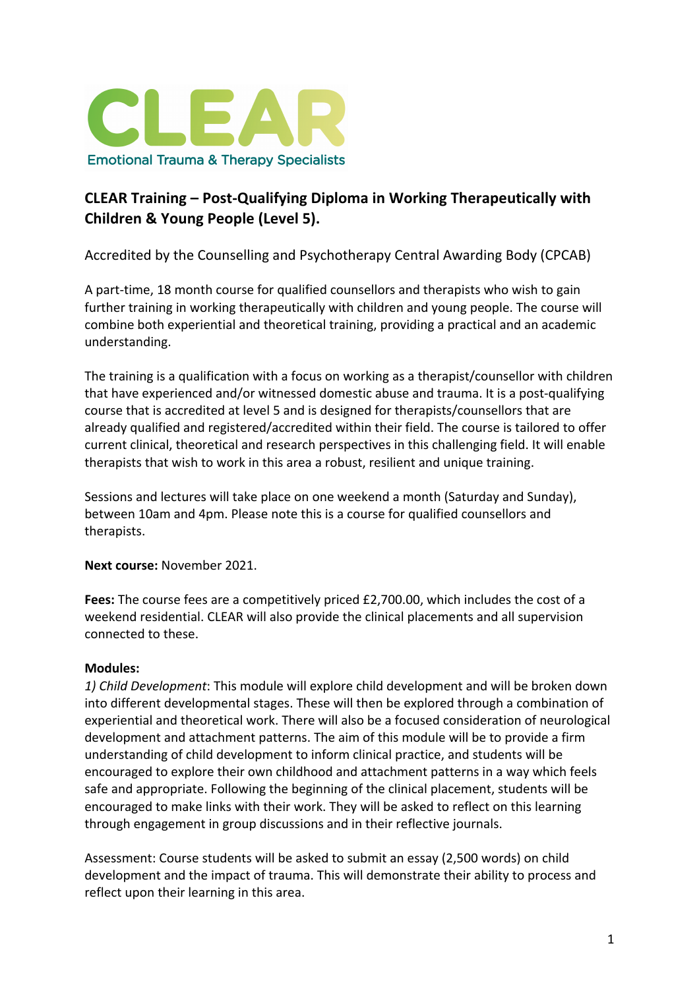

# **CLEAR Training – Post-Qualifying Diploma in Working Therapeutically with Children & Young People (Level 5).**

Accredited by the Counselling and Psychotherapy Central Awarding Body (CPCAB)

A part-time, 18 month course for qualified counsellors and therapists who wish to gain further training in working therapeutically with children and young people. The course will combine both experiential and theoretical training, providing a practical and an academic understanding.

The training is a qualification with a focus on working as a therapist/counsellor with children that have experienced and/or witnessed domestic abuse and trauma. It is a post-qualifying course that is accredited at level 5 and is designed for therapists/counsellors that are already qualified and registered/accredited within their field. The course is tailored to offer current clinical, theoretical and research perspectives in this challenging field. It will enable therapists that wish to work in this area a robust, resilient and unique training.

Sessions and lectures will take place on one weekend a month (Saturday and Sunday), between 10am and 4pm. Please note this is a course for qualified counsellors and therapists.

**Next course:** November 2021.

**Fees:** The course fees are a competitively priced £2,700.00, which includes the cost of a weekend residential. CLEAR will also provide the clinical placements and all supervision connected to these.

## **Modules:**

*1) Child Development*: This module will explore child development and will be broken down into different developmental stages. These will then be explored through a combination of experiential and theoretical work. There will also be a focused consideration of neurological development and attachment patterns. The aim of this module will be to provide a firm understanding of child development to inform clinical practice, and students will be encouraged to explore their own childhood and attachment patterns in a way which feels safe and appropriate. Following the beginning of the clinical placement, students will be encouraged to make links with their work. They will be asked to reflect on this learning through engagement in group discussions and in their reflective journals.

Assessment: Course students will be asked to submit an essay (2,500 words) on child development and the impact of trauma. This will demonstrate their ability to process and reflect upon their learning in this area.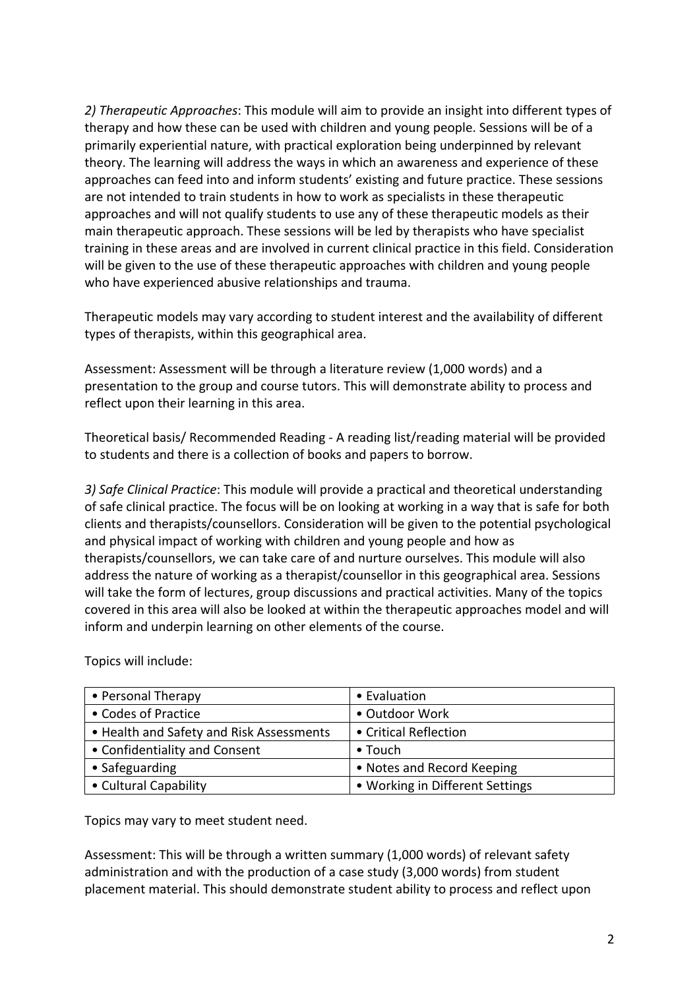*2) Therapeutic Approaches*: This module will aim to provide an insight into different types of therapy and how these can be used with children and young people. Sessions will be of a primarily experiential nature, with practical exploration being underpinned by relevant theory. The learning will address the ways in which an awareness and experience of these approaches can feed into and inform students' existing and future practice. These sessions are not intended to train students in how to work as specialists in these therapeutic approaches and will not qualify students to use any of these therapeutic models as their main therapeutic approach. These sessions will be led by therapists who have specialist training in these areas and are involved in current clinical practice in this field. Consideration will be given to the use of these therapeutic approaches with children and young people who have experienced abusive relationships and trauma.

Therapeutic models may vary according to student interest and the availability of different types of therapists, within this geographical area.

Assessment: Assessment will be through a literature review (1,000 words) and a presentation to the group and course tutors. This will demonstrate ability to process and reflect upon their learning in this area.

Theoretical basis/ Recommended Reading - A reading list/reading material will be provided to students and there is a collection of books and papers to borrow.

*3) Safe Clinical Practice*: This module will provide a practical and theoretical understanding of safe clinical practice. The focus will be on looking at working in a way that is safe for both clients and therapists/counsellors. Consideration will be given to the potential psychological and physical impact of working with children and young people and how as therapists/counsellors, we can take care of and nurture ourselves. This module will also address the nature of working as a therapist/counsellor in this geographical area. Sessions will take the form of lectures, group discussions and practical activities. Many of the topics covered in this area will also be looked at within the therapeutic approaches model and will inform and underpin learning on other elements of the course.

| • Personal Therapy                       | • Evaluation                    |
|------------------------------------------|---------------------------------|
| • Codes of Practice                      | • Outdoor Work                  |
| • Health and Safety and Risk Assessments | • Critical Reflection           |
| • Confidentiality and Consent            | $\bullet$ Touch                 |
| • Safeguarding                           | • Notes and Record Keeping      |
| • Cultural Capability                    | • Working in Different Settings |

Topics will include:

Topics may vary to meet student need.

Assessment: This will be through a written summary (1,000 words) of relevant safety administration and with the production of a case study (3,000 words) from student placement material. This should demonstrate student ability to process and reflect upon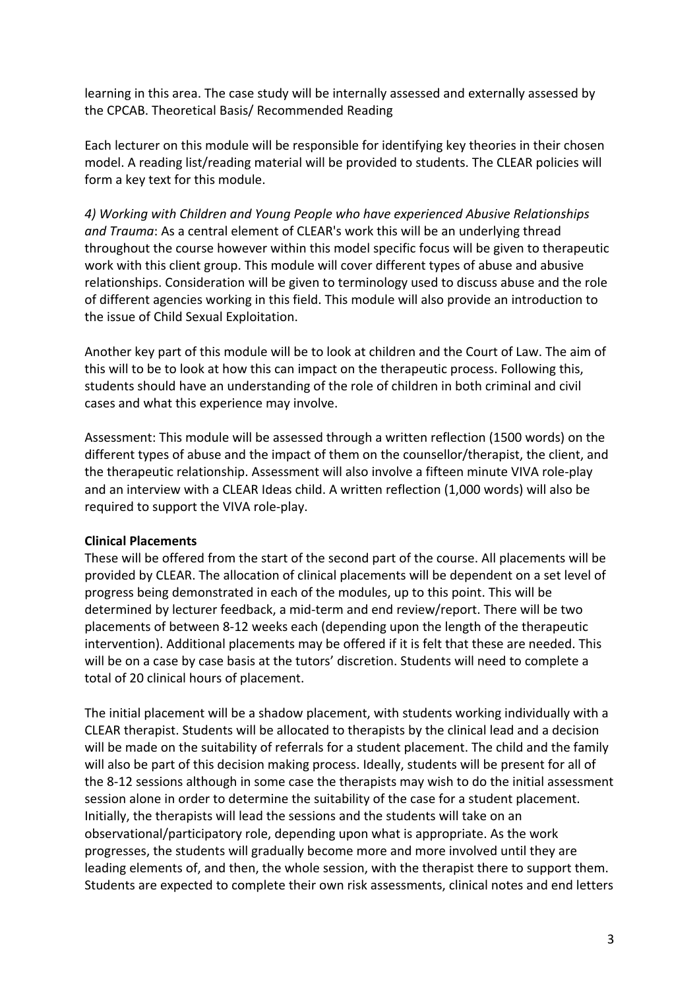learning in this area. The case study will be internally assessed and externally assessed by the CPCAB. Theoretical Basis/ Recommended Reading

Each lecturer on this module will be responsible for identifying key theories in their chosen model. A reading list/reading material will be provided to students. The CLEAR policies will form a key text for this module.

*4) Working with Children and Young People who have experienced Abusive Relationships and Trauma*: As a central element of CLEAR's work this will be an underlying thread throughout the course however within this model specific focus will be given to therapeutic work with this client group. This module will cover different types of abuse and abusive relationships. Consideration will be given to terminology used to discuss abuse and the role of different agencies working in this field. This module will also provide an introduction to the issue of Child Sexual Exploitation.

Another key part of this module will be to look at children and the Court of Law. The aim of this will to be to look at how this can impact on the therapeutic process. Following this, students should have an understanding of the role of children in both criminal and civil cases and what this experience may involve.

Assessment: This module will be assessed through a written reflection (1500 words) on the different types of abuse and the impact of them on the counsellor/therapist, the client, and the therapeutic relationship. Assessment will also involve a fifteen minute VIVA role-play and an interview with a CLEAR Ideas child. A written reflection (1,000 words) will also be required to support the VIVA role-play.

#### **Clinical Placements**

These will be offered from the start of the second part of the course. All placements will be provided by CLEAR. The allocation of clinical placements will be dependent on a set level of progress being demonstrated in each of the modules, up to this point. This will be determined by lecturer feedback, a mid-term and end review/report. There will be two placements of between 8-12 weeks each (depending upon the length of the therapeutic intervention). Additional placements may be offered if it is felt that these are needed. This will be on a case by case basis at the tutors' discretion. Students will need to complete a total of 20 clinical hours of placement.

The initial placement will be a shadow placement, with students working individually with a CLEAR therapist. Students will be allocated to therapists by the clinical lead and a decision will be made on the suitability of referrals for a student placement. The child and the family will also be part of this decision making process. Ideally, students will be present for all of the 8-12 sessions although in some case the therapists may wish to do the initial assessment session alone in order to determine the suitability of the case for a student placement. Initially, the therapists will lead the sessions and the students will take on an observational/participatory role, depending upon what is appropriate. As the work progresses, the students will gradually become more and more involved until they are leading elements of, and then, the whole session, with the therapist there to support them. Students are expected to complete their own risk assessments, clinical notes and end letters